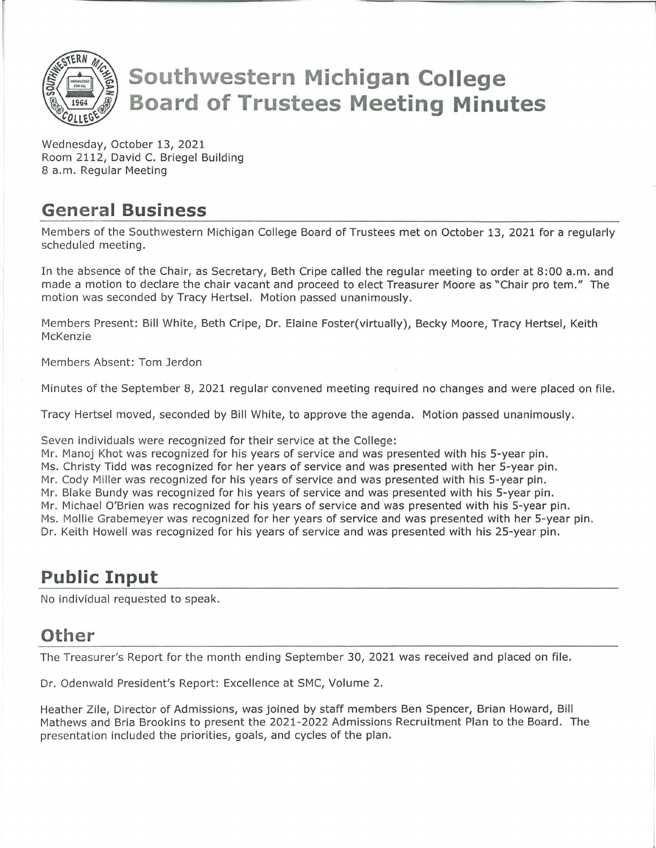

# **Southwestern Michigan College Board of Trustees Meeting Minutes**

Wednesday, October 13, 2021 Room 2112, David C. Briegel Building 8 a.m. Regular Meeting

#### **General Business**

Members of the Southwestern Michigan College Board of Trustees met on October 13, 2021 for a regularly scheduled meeting.

In the absence of the Chair, as Secretary, Beth Cripe called the regular meeting to order at 8:00 a.m. and made a motion to declare the chair vacant and proceed to elect Treasurer Moore as "Chair pro tem." The motion was seconded by Tracy Hertsel. Motion passed unanimously.

Members Present: Bill White, Beth Cripe, Dr. Elaine Foster(virtually), Becky Moore, Tracy Hertsel, Keith McKenzie

Members Absent: Tom Jerdon

Minutes of the September 8, 2021 regular convened meeting required no changes and were placed on file.

Tracy Hertsel moved, seconded by Bill White, to approve the agenda. Motion passed unanimously.

Seven individuals were recognized for their service at the College:

Mr. Manoj Khat was recognized for his years of service and was presented with his 5-year pin.

Ms. Christy Tidd was recognized for her years of service and was presented with her 5-year pin.

Mr. Cody Miller was recognized for his years of service and was presented with his 5-year pin.

Mr. Blake Bundy was recognized for his years of service and was presented with his 5-year pin.

Mr. Michael O'Brien was recognized for his years of service and was presented with his 5-year pin.

Ms. Mollie Grabemeyer was recognized for her years of service and was presented with her 5-year pin.

Dr. Keith Howell was recognized for his years of service and was presented with his 25-year pin.

## **Public Input**

No individual requested to speak.

## **Other**

The Treasurer's Report for the month ending September 30, 2021 was received and placed on file.

Dr. Odenwald President's Report: Excellence at SMC, Volume 2.

Heather Zile, Director of Admissions, was joined by staff members Ben Spencer, Brian Howard, Bill Mathews and Bria Brookins to present the 2021-2022 Admissions Recruitment Plan to the Board. The presentation included the priorities, goals, and cycles of the plan.